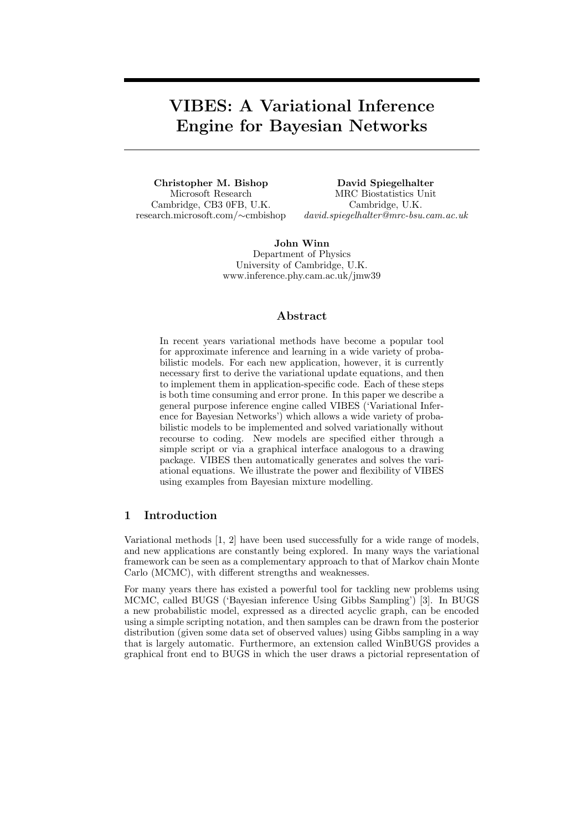# VIBES: A Variational Inference Engine for Bayesian Networks

Christopher M. Bishop Microsoft Research Cambridge, CB3 0FB, U.K. research.microsoft.com/∼cmbishop

David Spiegelhalter MRC Biostatistics Unit Cambridge, U.K. david.spiegelhalter@mrc-bsu.cam.ac.uk

John Winn Department of Physics University of Cambridge, U.K. www.inference.phy.cam.ac.uk/jmw39

## Abstract

In recent years variational methods have become a popular tool for approximate inference and learning in a wide variety of probabilistic models. For each new application, however, it is currently necessary first to derive the variational update equations, and then to implement them in application-specific code. Each of these steps is both time consuming and error prone. In this paper we describe a general purpose inference engine called VIBES ('Variational Inference for Bayesian Networks') which allows a wide variety of probabilistic models to be implemented and solved variationally without recourse to coding. New models are specified either through a simple script or via a graphical interface analogous to a drawing package. VIBES then automatically generates and solves the variational equations. We illustrate the power and flexibility of VIBES using examples from Bayesian mixture modelling.

## 1 Introduction

Variational methods [1, 2] have been used successfully for a wide range of models, and new applications are constantly being explored. In many ways the variational framework can be seen as a complementary approach to that of Markov chain Monte Carlo (MCMC), with different strengths and weaknesses.

For many years there has existed a powerful tool for tackling new problems using MCMC, called BUGS ('Bayesian inference Using Gibbs Sampling') [3]. In BUGS a new probabilistic model, expressed as a directed acyclic graph, can be encoded using a simple scripting notation, and then samples can be drawn from the posterior distribution (given some data set of observed values) using Gibbs sampling in a way that is largely automatic. Furthermore, an extension called WinBUGS provides a graphical front end to BUGS in which the user draws a pictorial representation of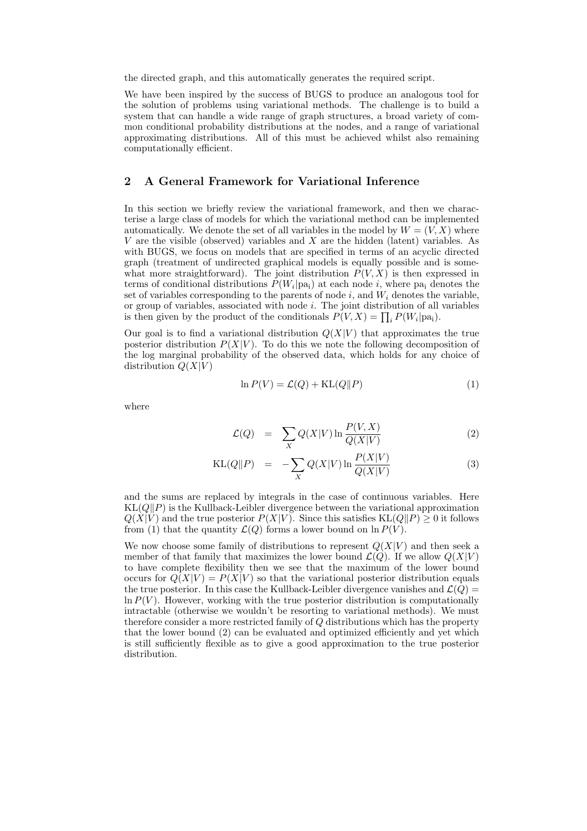the directed graph, and this automatically generates the required script.

We have been inspired by the success of BUGS to produce an analogous tool for the solution of problems using variational methods. The challenge is to build a system that can handle a wide range of graph structures, a broad variety of common conditional probability distributions at the nodes, and a range of variational approximating distributions. All of this must be achieved whilst also remaining computationally efficient.

## 2 A General Framework for Variational Inference

In this section we briefly review the variational framework, and then we characterise a large class of models for which the variational method can be implemented automatically. We denote the set of all variables in the model by  $W = (V, X)$  where V are the visible (observed) variables and X are the hidden (latent) variables. As with BUGS, we focus on models that are specified in terms of an acyclic directed graph (treatment of undirected graphical models is equally possible and is somewhat more straightforward). The joint distribution  $P(V, X)$  is then expressed in terms of conditional distributions  $P(W_i|pa_i)$  at each node i, where  $pa_i$  denotes the set of variables corresponding to the parents of node  $i$ , and  $W_i$  denotes the variable, or group of variables, associated with node  $i$ . The joint distribution of all variables is then given by the product of the conditionals  $P(V, X) = \prod_i P(W_i | pa_i)$ .

Our goal is to find a variational distribution  $Q(X|V)$  that approximates the true posterior distribution  $P(X|V)$ . To do this we note the following decomposition of the log marginal probability of the observed data, which holds for any choice of distribution  $Q(X|V)$ 

$$
\ln P(V) = \mathcal{L}(Q) + \text{KL}(Q||P) \tag{1}
$$

where

$$
\mathcal{L}(Q) = \sum_{X} Q(X|V) \ln \frac{P(V,X)}{Q(X|V)} \tag{2}
$$

$$
KL(Q||P) = -\sum_{X} Q(X|V) \ln \frac{P(X|V)}{Q(X|V)}
$$
(3)

and the sums are replaced by integrals in the case of continuous variables. Here  $KL(Q||P)$  is the Kullback-Leibler divergence between the variational approximation  $Q(X|V)$  and the true posterior  $P(X|V)$ . Since this satisfies  $KL(Q||P) \geq 0$  it follows from (1) that the quantity  $\mathcal{L}(Q)$  forms a lower bound on  $\ln P(V)$ .

We now choose some family of distributions to represent  $Q(X|V)$  and then seek a member of that family that maximizes the lower bound  $\mathcal{L}(Q)$ . If we allow  $Q(X|V)$ to have complete flexibility then we see that the maximum of the lower bound occurs for  $Q(X|V) = P(X|V)$  so that the variational posterior distribution equals the true posterior. In this case the Kullback-Leibler divergence vanishes and  $\mathcal{L}(Q)$  =  $\ln P(V)$ . However, working with the true posterior distribution is computationally intractable (otherwise we wouldn't be resorting to variational methods). We must therefore consider a more restricted family of Q distributions which has the property that the lower bound (2) can be evaluated and optimized efficiently and yet which is still sufficiently flexible as to give a good approximation to the true posterior distribution.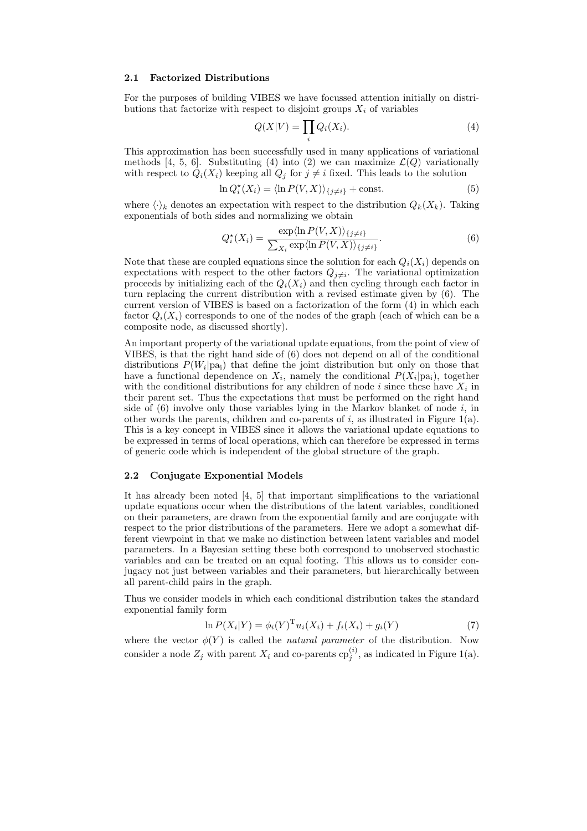#### 2.1 Factorized Distributions

For the purposes of building VIBES we have focussed attention initially on distributions that factorize with respect to disjoint groups  $X_i$  of variables

$$
Q(X|V) = \prod_i Q_i(X_i). \tag{4}
$$

This approximation has been successfully used in many applications of variational methods [4, 5, 6]. Substituting (4) into (2) we can maximize  $\mathcal{L}(Q)$  variationally with respect to  $Q_i(X_i)$  keeping all  $Q_i$  for  $j \neq i$  fixed. This leads to the solution

$$
\ln Q_i^*(X_i) = \langle \ln P(V, X) \rangle_{\{j \neq i\}} + \text{const.}
$$
\n(5)

where  $\langle \cdot \rangle_k$  denotes an expectation with respect to the distribution  $Q_k(X_k)$ . Taking exponentials of both sides and normalizing we obtain

$$
Q_i^{\star}(X_i) = \frac{\exp\langle\ln P(V, X)\rangle_{\{j \neq i\}}}{\sum_{X_i} \exp\langle\ln P(V, X)\rangle_{\{j \neq i\}}}.\tag{6}
$$

Note that these are coupled equations since the solution for each  $Q_i(X_i)$  depends on expectations with respect to the other factors  $Q_{j\neq i}$ . The variational optimization proceeds by initializing each of the  $Q_i(X_i)$  and then cycling through each factor in turn replacing the current distribution with a revised estimate given by (6). The current version of VIBES is based on a factorization of the form (4) in which each factor  $Q_i(X_i)$  corresponds to one of the nodes of the graph (each of which can be a composite node, as discussed shortly).

An important property of the variational update equations, from the point of view of VIBES, is that the right hand side of (6) does not depend on all of the conditional distributions  $P(W_i|pa_i)$  that define the joint distribution but only on those that have a functional dependence on  $X_i$ , namely the conditional  $P(X_i|pa_i)$ , together with the conditional distributions for any children of node i since these have  $X_i$  in their parent set. Thus the expectations that must be performed on the right hand side of  $(6)$  involve only those variables lying in the Markov blanket of node i, in other words the parents, children and co-parents of  $i$ , as illustrated in Figure 1(a). This is a key concept in VIBES since it allows the variational update equations to be expressed in terms of local operations, which can therefore be expressed in terms of generic code which is independent of the global structure of the graph.

#### 2.2 Conjugate Exponential Models

It has already been noted [4, 5] that important simplifications to the variational update equations occur when the distributions of the latent variables, conditioned on their parameters, are drawn from the exponential family and are conjugate with respect to the prior distributions of the parameters. Here we adopt a somewhat different viewpoint in that we make no distinction between latent variables and model parameters. In a Bayesian setting these both correspond to unobserved stochastic variables and can be treated on an equal footing. This allows us to consider conjugacy not just between variables and their parameters, but hierarchically between all parent-child pairs in the graph.

Thus we consider models in which each conditional distribution takes the standard exponential family form

$$
\ln P(X_i|Y) = \phi_i(Y)^{\mathrm{T}} u_i(X_i) + f_i(X_i) + g_i(Y) \tag{7}
$$

where the vector  $\phi(Y)$  is called the *natural parameter* of the distribution. Now consider a node  $Z_j$  with parent  $X_i$  and co-parents  $\text{cp}_j^{(i)}$ , as indicated in Figure 1(a).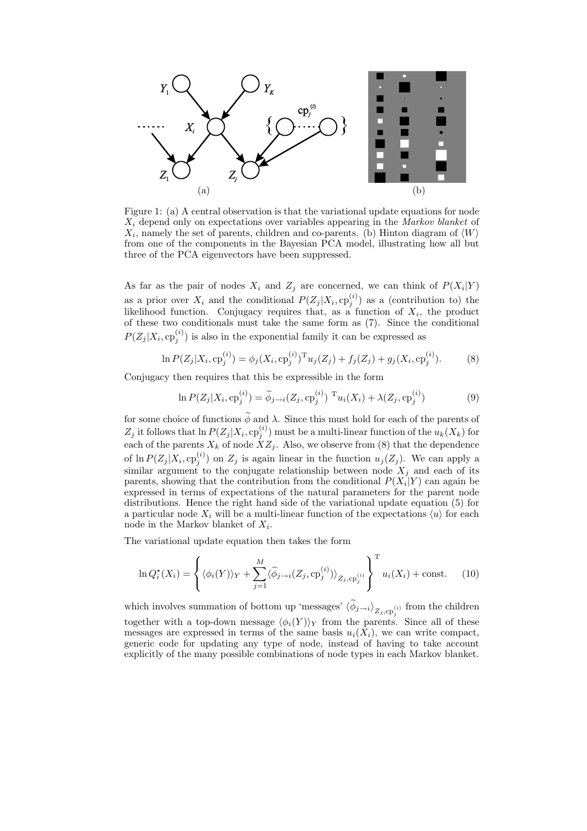

Figure 1: (a) A central observation is that the variational update equations for node  $X_i$  depend only on expectations over variables appearing in the Markov blanket of  $X_i$ , namely the set of parents, children and co-parents. (b) Hinton diagram of  $\langle W \rangle$ from one of the components in the Bayesian PCA model, illustrating how all but three of the PCA eigenvectors have been suppressed.

As far as the pair of nodes  $X_i$  and  $Z_j$  are concerned, we can think of  $P(X_i|Y)$ as a prior over  $X_i$  and the conditional  $P(Z_j | X_i, \text{cp}_j^{(i)})$  as a (contribution to) the likelihood function. Conjugacy requires that, as a function of  $X_i$ , the product of these two conditionals must take the same form as (7). Since the conditional  $P(Z_j | X_i, \text{cp}_j^{(i)})$  is also in the exponential family it can be expressed as

$$
\ln P(Z_j|X_i, \text{cp}_j^{(i)}) = \phi_j(X_i, \text{cp}_j^{(i)})^{\text{T}} u_j(Z_j) + f_j(Z_j) + g_j(X_i, \text{cp}_j^{(i)}).
$$
 (8)

Conjugacy then requires that this be expressible in the form

$$
\ln P(Z_j|X_i, \text{cp}_j^{(i)}) = \widetilde{\phi}_{j \to i}(Z_j, \text{cp}_j^{(i)}) \ {}^{\text{T}} u_i(X_i) + \lambda(Z_j, \text{cp}_j^{(i)}) \tag{9}
$$

for some choice of functions  $\widetilde{\phi}$  and  $\lambda$ . Since this must hold for each of the parents of  $Z_j$  it follows that  $\ln P(Z_j | X_i, \text{cp}_j^{(i)})$  must be a multi-linear function of the  $u_k(X_k)$  for each of the parents  $X_k$  of node  $\overline{XZ_j}$ . Also, we observe from (8) that the dependence of  $\ln P(Z_j | X_i, \text{cp}_j^{(i)})$  on  $Z_j$  is again linear in the function  $u_j(Z_j)$ . We can apply a similar argument to the conjugate relationship between node  $X_j$  and each of its parents, showing that the contribution from the conditional  $P(X_i|Y)$  can again be expressed in terms of expectations of the natural parameters for the parent node distributions. Hence the right hand side of the variational update equation (5) for a particular node  $X_i$  will be a multi-linear function of the expectations  $\langle u \rangle$  for each node in the Markov blanket of  $X_i$ .

The variational update equation then takes the form

$$
\ln Q_i^{\star}(X_i) = \left\{ \langle \phi_i(Y) \rangle_Y + \sum_{j=1}^M \langle \widetilde{\phi}_{j \to i}(Z_j, \text{cp}_j^{(i)}) \rangle_{Z_j, \text{cp}_j^{(i)}} \right\}^{\text{T}} u_i(X_i) + \text{const.} \quad (10)
$$

which involves summation of bottom up 'messages'  $\langle \phi_{j\rightarrow i} \rangle_{Z_j, \text{cp}_j^{(i)}}$  from the children together with a top-down message  $\langle \phi_i(Y) \rangle_Y$  from the parents. Since all of these messages are expressed in terms of the same basis  $u_i(\tilde{X}_i)$ , we can write compact, generic code for updating any type of node, instead of having to take account explicitly of the many possible combinations of node types in each Markov blanket.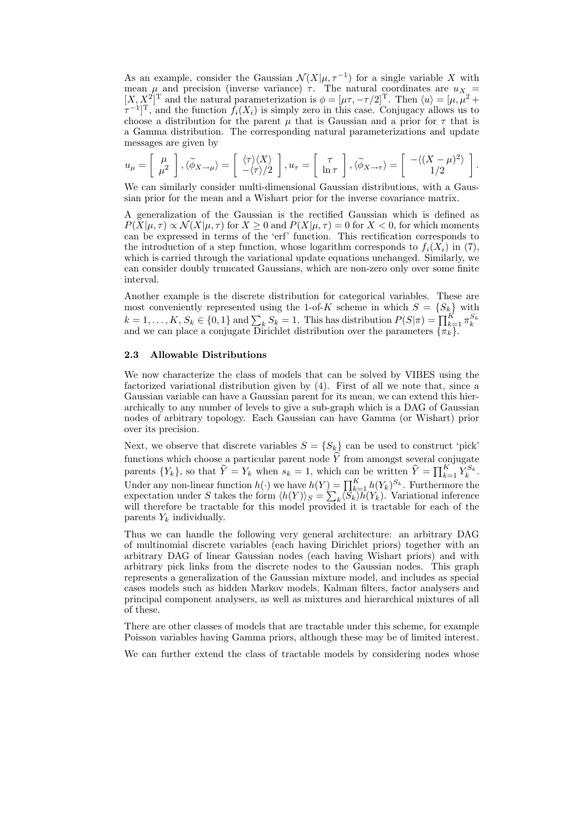As an example, consider the Gaussian  $\mathcal{N}(X|\mu, \tau^{-1})$  for a single variable X with mean  $\mu$  and precision (inverse variance)  $\tau$ . The natural coordinates are  $u_X$  =  $[X, X^2]^T$  and the natural parameterization is  $\phi = [\mu \tau, -\tau/2]^T$ . Then  $\langle u \rangle = [\mu, \mu^2 +$  $[\tau^{-1}]^{\mathrm{T}}$ , and the function  $f_i(X_i)$  is simply zero in this case. Conjugacy allows us to choose a distribution for the parent  $\mu$  that is Gaussian and a prior for  $\tau$  that is a Gamma distribution. The corresponding natural parameterizations and update messages are given by

$$
u_{\mu} = \begin{bmatrix} \mu \\ \mu^2 \end{bmatrix}, \langle \widetilde{\phi}_{X \to \mu} \rangle = \begin{bmatrix} \langle \tau \rangle \langle X \rangle \\ -\langle \tau \rangle \langle 2 \end{bmatrix}, u_{\tau} = \begin{bmatrix} \tau \\ \ln \tau \end{bmatrix}, \langle \widetilde{\phi}_{X \to \tau} \rangle = \begin{bmatrix} -\langle (X - \mu)^2 \rangle \\ 1/2 \end{bmatrix}.
$$

We can similarly consider multi-dimensional Gaussian distributions, with a Gaussian prior for the mean and a Wishart prior for the inverse covariance matrix.

A generalization of the Gaussian is the rectified Gaussian which is defined as  $P(X|\mu, \tau) \propto \mathcal{N}(X|\mu, \tau)$  for  $X \geq 0$  and  $P(X|\mu, \tau) = 0$  for  $X < 0$ , for which moments can be expressed in terms of the 'erf' function. This rectification corresponds to the introduction of a step function, whose logarithm corresponds to  $f_i(X_i)$  in (7), which is carried through the variational update equations unchanged. Similarly, we can consider doubly truncated Gaussians, which are non-zero only over some finite interval.

Another example is the discrete distribution for categorical variables. These are most conveniently represented using the 1-of-K scheme in which  $S = \{S_k\}$  with  $k = 1, \ldots, K, S_k \in \{0, 1\}$  and  $\sum_k S_k = 1$ . This has distribution  $P(S|\pi) = \prod_{k=1}^K \pi_k^{S_k}$  and we can place a conjugate Dirichlet distribution over the parameters  $\{\pi_k\}$ .

#### 2.3 Allowable Distributions

We now characterize the class of models that can be solved by VIBES using the factorized variational distribution given by (4). First of all we note that, since a Gaussian variable can have a Gaussian parent for its mean, we can extend this hierarchically to any number of levels to give a sub-graph which is a DAG of Gaussian nodes of arbitrary topology. Each Gaussian can have Gamma (or Wishart) prior over its precision.

Next, we observe that discrete variables  $S = \{S_k\}$  can be used to construct 'pick' functions which choose a particular parent node Y from amongst several conjugate parents  $\{Y_k\}$ , so that  $\widehat{Y} = Y_k$  when  $s_k = 1$ , which can be written  $\widehat{Y} = \prod_{k=1}^K Y_k^{S_k}$ . Under any non-linear function  $h(\cdot)$  we have  $h(Y) = \prod_{k=1}^{K} h(Y_k)^{S_k}$ . Furthermore the expectation under S takes the form  $\langle h(Y) \rangle_S = \sum_k \langle S_k \rangle \overline{h}(Y_k)$ . Variational inference will therefore be tractable for this model provided it is tractable for each of the parents  $Y_k$  individually.

Thus we can handle the following very general architecture: an arbitrary DAG of multinomial discrete variables (each having Dirichlet priors) together with an arbitrary DAG of linear Gaussian nodes (each having Wishart priors) and with arbitrary pick links from the discrete nodes to the Gaussian nodes. This graph represents a generalization of the Gaussian mixture model, and includes as special cases models such as hidden Markov models, Kalman filters, factor analysers and principal component analysers, as well as mixtures and hierarchical mixtures of all of these.

There are other classes of models that are tractable under this scheme, for example Poisson variables having Gamma priors, although these may be of limited interest.

We can further extend the class of tractable models by considering nodes whose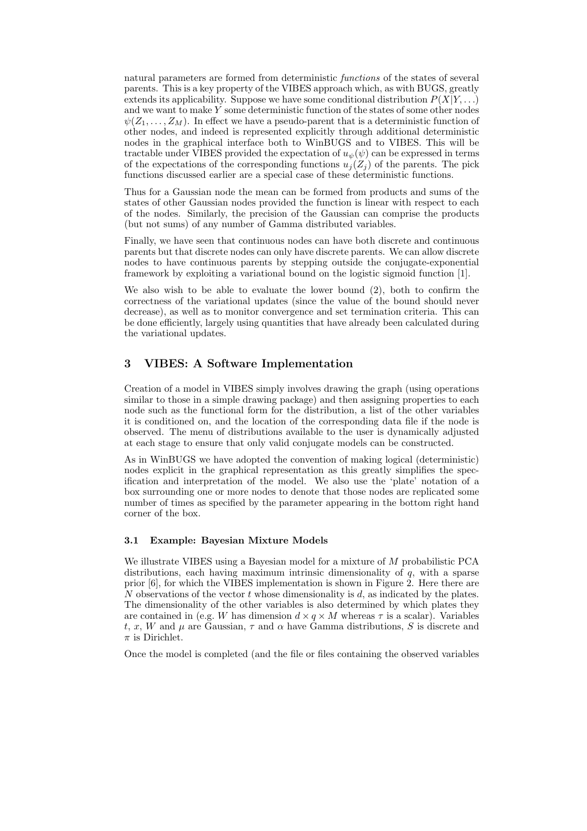natural parameters are formed from deterministic functions of the states of several parents. This is a key property of the VIBES approach which, as with BUGS, greatly extends its applicability. Suppose we have some conditional distribution  $P(X|Y, \ldots)$ and we want to make Y some deterministic function of the states of some other nodes  $\psi(Z_1,\ldots,Z_M)$ . In effect we have a pseudo-parent that is a deterministic function of other nodes, and indeed is represented explicitly through additional deterministic nodes in the graphical interface both to WinBUGS and to VIBES. This will be tractable under VIBES provided the expectation of  $u_{\psi}(\psi)$  can be expressed in terms of the expectations of the corresponding functions  $u_i(Z_i)$  of the parents. The pick functions discussed earlier are a special case of these deterministic functions.

Thus for a Gaussian node the mean can be formed from products and sums of the states of other Gaussian nodes provided the function is linear with respect to each of the nodes. Similarly, the precision of the Gaussian can comprise the products (but not sums) of any number of Gamma distributed variables.

Finally, we have seen that continuous nodes can have both discrete and continuous parents but that discrete nodes can only have discrete parents. We can allow discrete nodes to have continuous parents by stepping outside the conjugate-exponential framework by exploiting a variational bound on the logistic sigmoid function [1].

We also wish to be able to evaluate the lower bound (2), both to confirm the correctness of the variational updates (since the value of the bound should never decrease), as well as to monitor convergence and set termination criteria. This can be done efficiently, largely using quantities that have already been calculated during the variational updates.

## 3 VIBES: A Software Implementation

Creation of a model in VIBES simply involves drawing the graph (using operations similar to those in a simple drawing package) and then assigning properties to each node such as the functional form for the distribution, a list of the other variables it is conditioned on, and the location of the corresponding data file if the node is observed. The menu of distributions available to the user is dynamically adjusted at each stage to ensure that only valid conjugate models can be constructed.

As in WinBUGS we have adopted the convention of making logical (deterministic) nodes explicit in the graphical representation as this greatly simplifies the specification and interpretation of the model. We also use the 'plate' notation of a box surrounding one or more nodes to denote that those nodes are replicated some number of times as specified by the parameter appearing in the bottom right hand corner of the box.

#### 3.1 Example: Bayesian Mixture Models

We illustrate VIBES using a Bayesian model for a mixture of M probabilistic PCA distributions, each having maximum intrinsic dimensionality of q, with a sparse prior [6], for which the VIBES implementation is shown in Figure 2. Here there are N observations of the vector  $t$  whose dimensionality is  $d$ , as indicated by the plates. The dimensionality of the other variables is also determined by which plates they are contained in (e.g. W has dimension  $d \times q \times M$  whereas  $\tau$  is a scalar). Variables t, x, W and  $\mu$  are Gaussian,  $\tau$  and  $\alpha$  have Gamma distributions, S is discrete and  $\pi$  is Dirichlet.

Once the model is completed (and the file or files containing the observed variables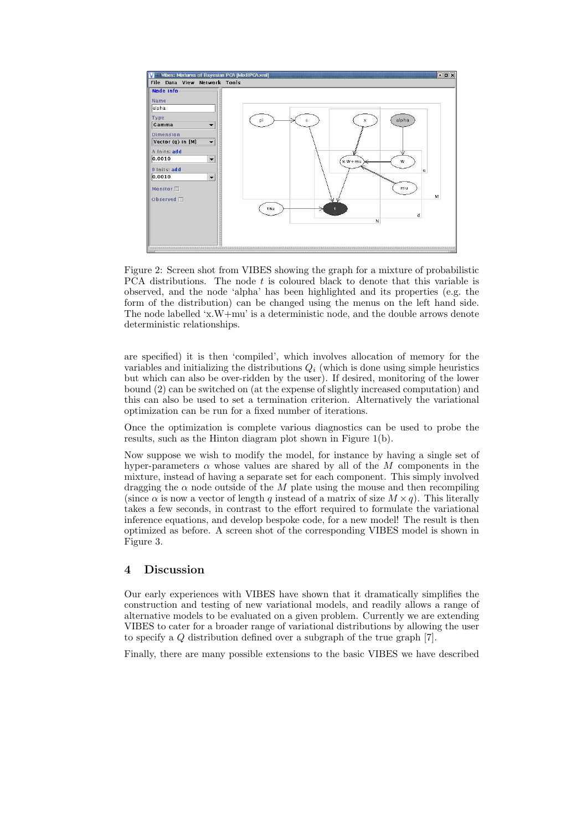

Figure 2: Screen shot from VIBES showing the graph for a mixture of probabilistic PCA distributions. The node t is coloured black to denote that this variable is observed, and the node 'alpha' has been highlighted and its properties (e.g. the form of the distribution) can be changed using the menus on the left hand side. The node labelled  $x.W+mu'$  is a deterministic node, and the double arrows denote deterministic relationships.

are specified) it is then 'compiled', which involves allocation of memory for the variables and initializing the distributions  $Q_i$  (which is done using simple heuristics but which can also be over-ridden by the user). If desired, monitoring of the lower bound (2) can be switched on (at the expense of slightly increased computation) and this can also be used to set a termination criterion. Alternatively the variational optimization can be run for a fixed number of iterations.

Once the optimization is complete various diagnostics can be used to probe the results, such as the Hinton diagram plot shown in Figure 1(b).

Now suppose we wish to modify the model, for instance by having a single set of hyper-parameters  $\alpha$  whose values are shared by all of the M components in the mixture, instead of having a separate set for each component. This simply involved dragging the  $\alpha$  node outside of the M plate using the mouse and then recompiling (since  $\alpha$  is now a vector of length q instead of a matrix of size  $M \times q$ ). This literally takes a few seconds, in contrast to the effort required to formulate the variational inference equations, and develop bespoke code, for a new model! The result is then optimized as before. A screen shot of the corresponding VIBES model is shown in Figure 3.

## 4 Discussion

Our early experiences with VIBES have shown that it dramatically simplifies the construction and testing of new variational models, and readily allows a range of alternative models to be evaluated on a given problem. Currently we are extending VIBES to cater for a broader range of variational distributions by allowing the user to specify a Q distribution defined over a subgraph of the true graph [7].

Finally, there are many possible extensions to the basic VIBES we have described